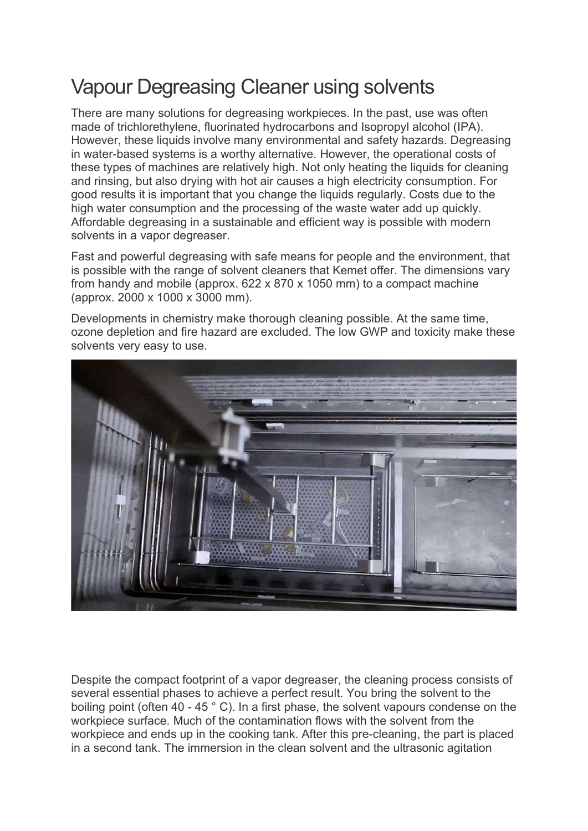## Vapour Degreasing Cleaner using solvents

There are many solutions for degreasing workpieces. In the past, use was often made of trichlorethylene, fluorinated hydrocarbons and Isopropyl alcohol (IPA). However, these liquids involve many environmental and safety hazards. Degreasing in water-based systems is a worthy alternative. However, the operational costs of these types of machines are relatively high. Not only heating the liquids for cleaning and rinsing, but also drying with hot air causes a high electricity consumption. For good results it is important that you change the liquids regularly. Costs due to the high water consumption and the processing of the waste water add up quickly. Affordable degreasing in a sustainable and efficient way is possible with modern solvents in a vapor degreaser.

Fast and powerful degreasing with safe means for people and the environment, that is possible with the range of solvent cleaners that Kemet offer. The dimensions vary from handy and mobile (approx. 622 x 870 x 1050 mm) to a compact machine (approx. 2000 x 1000 x 3000 mm).

Developments in chemistry make thorough cleaning possible. At the same time, ozone depletion and fire hazard are excluded. The low GWP and toxicity make these solvents very easy to use.



Despite the compact footprint of a vapor degreaser, the cleaning process consists of several essential phases to achieve a perfect result. You bring the solvent to the boiling point (often 40 - 45 ° C). In a first phase, the solvent vapours condense on the workpiece surface. Much of the contamination flows with the solvent from the workpiece and ends up in the cooking tank. After this pre-cleaning, the part is placed in a second tank. The immersion in the clean solvent and the ultrasonic agitation